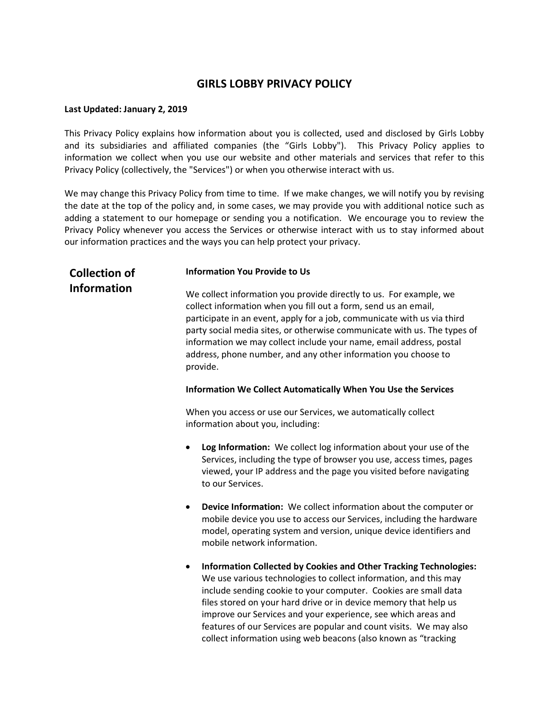### **GIRLS LOBBY PRIVACY POLICY**

#### **Last Updated: January 2, 2019**

This Privacy Policy explains how information about you is collected, used and disclosed by Girls Lobby and its subsidiaries and affiliated companies (the "Girls Lobby"). This Privacy Policy applies to information we collect when you use our website and other materials and services that refer to this Privacy Policy (collectively, the "Services") or when you otherwise interact with us.

We may change this Privacy Policy from time to time. If we make changes, we will notify you by revising the date at the top of the policy and, in some cases, we may provide you with additional notice such as adding a statement to our homepage or sending you a notification. We encourage you to review the Privacy Policy whenever you access the Services or otherwise interact with us to stay informed about our information practices and the ways you can help protect your privacy.

# **Collection of Information**

#### **Information You Provide to Us**

We collect information you provide directly to us. For example, we collect information when you fill out a form, send us an email, participate in an event, apply for a job, communicate with us via third party social media sites, or otherwise communicate with us. The types of information we may collect include your name, email address, postal address, phone number, and any other information you choose to provide.

#### **Information We Collect Automatically When You Use the Services**

When you access or use our Services, we automatically collect information about you, including:

- **Log Information:** We collect log information about your use of the Services, including the type of browser you use, access times, pages viewed, your IP address and the page you visited before navigating to our Services.
- **Device Information:** We collect information about the computer or mobile device you use to access our Services, including the hardware model, operating system and version, unique device identifiers and mobile network information.
- **Information Collected by Cookies and Other Tracking Technologies:** We use various technologies to collect information, and this may include sending cookie to your computer. Cookies are small data files stored on your hard drive or in device memory that help us improve our Services and your experience, see which areas and features of our Services are popular and count visits. We may also collect information using web beacons (also known as "tracking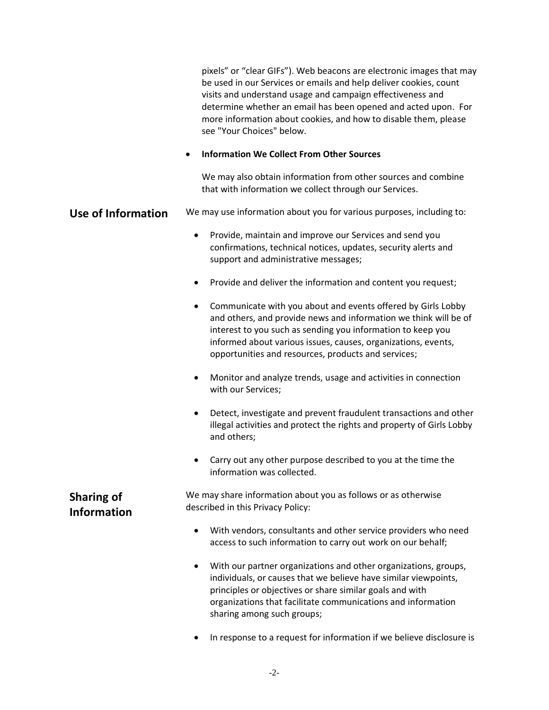pixels" or "clear GIFs"). Web beacons are electronic images that may be used in our Services or emails and help deliver cookies, count visits and understand usage and campaign effectiveness and determine whether an email has been opened and acted upon. For more information about cookies, and how to disable them, please see "Your Choices" below.

#### • **Information We Collect From Other Sources**

We may also obtain information from other sources and combine that with information we collect through our Services.

#### **Use of Information** We may use information about you for various purposes, including to:

- Provide, maintain and improve our Services and send you confirmations, technical notices, updates, security alerts and support and administrative messages;
- Provide and deliver the information and content you request;
- Communicate with you about and events offered by Girls Lobby and others, and provide news and information we think will be of interest to you such as sending you information to keep you informed about various issues, causes, organizations, events, opportunities and resources, products and services;
- Monitor and analyze trends, usage and activities in connection with our Services;
- Detect, investigate and prevent fraudulent transactions and other illegal activities and protect the rights and property of Girls Lobby and others;
- Carry out any other purpose described to you at the time the information was collected.

We may share information about you as follows or as otherwise described in this Privacy Policy:

- With vendors, consultants and other service providers who need access to such information to carry out work on our behalf;
- With our partner organizations and other organizations, groups, individuals, or causes that we believe have similar viewpoints, principles or objectives or share similar goals and with organizations that facilitate communications and information sharing among such groups;
- In response to a request for information if we believe disclosure is

## **Sharing of Information**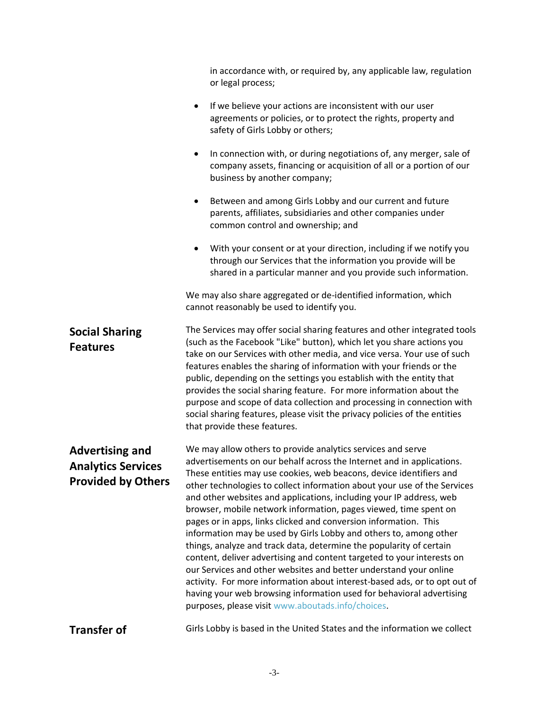|                                                                                  | in accordance with, or required by, any applicable law, regulation<br>or legal process;                                                                                                                                                                                                                                                                                                                                                                                                                                                                                                                                                                                                                                                                                                                                                                                                                                                                                                                     |
|----------------------------------------------------------------------------------|-------------------------------------------------------------------------------------------------------------------------------------------------------------------------------------------------------------------------------------------------------------------------------------------------------------------------------------------------------------------------------------------------------------------------------------------------------------------------------------------------------------------------------------------------------------------------------------------------------------------------------------------------------------------------------------------------------------------------------------------------------------------------------------------------------------------------------------------------------------------------------------------------------------------------------------------------------------------------------------------------------------|
|                                                                                  | If we believe your actions are inconsistent with our user<br>$\bullet$<br>agreements or policies, or to protect the rights, property and<br>safety of Girls Lobby or others;                                                                                                                                                                                                                                                                                                                                                                                                                                                                                                                                                                                                                                                                                                                                                                                                                                |
|                                                                                  | In connection with, or during negotiations of, any merger, sale of<br>$\bullet$<br>company assets, financing or acquisition of all or a portion of our<br>business by another company;                                                                                                                                                                                                                                                                                                                                                                                                                                                                                                                                                                                                                                                                                                                                                                                                                      |
|                                                                                  | Between and among Girls Lobby and our current and future<br>parents, affiliates, subsidiaries and other companies under<br>common control and ownership; and                                                                                                                                                                                                                                                                                                                                                                                                                                                                                                                                                                                                                                                                                                                                                                                                                                                |
|                                                                                  | With your consent or at your direction, including if we notify you<br>$\bullet$<br>through our Services that the information you provide will be<br>shared in a particular manner and you provide such information.                                                                                                                                                                                                                                                                                                                                                                                                                                                                                                                                                                                                                                                                                                                                                                                         |
|                                                                                  | We may also share aggregated or de-identified information, which<br>cannot reasonably be used to identify you.                                                                                                                                                                                                                                                                                                                                                                                                                                                                                                                                                                                                                                                                                                                                                                                                                                                                                              |
| <b>Social Sharing</b><br><b>Features</b>                                         | The Services may offer social sharing features and other integrated tools<br>(such as the Facebook "Like" button), which let you share actions you<br>take on our Services with other media, and vice versa. Your use of such<br>features enables the sharing of information with your friends or the<br>public, depending on the settings you establish with the entity that<br>provides the social sharing feature. For more information about the<br>purpose and scope of data collection and processing in connection with<br>social sharing features, please visit the privacy policies of the entities<br>that provide these features.                                                                                                                                                                                                                                                                                                                                                                |
| <b>Advertising and</b><br><b>Analytics Services</b><br><b>Provided by Others</b> | We may allow others to provide analytics services and serve<br>advertisements on our behalf across the Internet and in applications.<br>These entities may use cookies, web beacons, device identifiers and<br>other technologies to collect information about your use of the Services<br>and other websites and applications, including your IP address, web<br>browser, mobile network information, pages viewed, time spent on<br>pages or in apps, links clicked and conversion information. This<br>information may be used by Girls Lobby and others to, among other<br>things, analyze and track data, determine the popularity of certain<br>content, deliver advertising and content targeted to your interests on<br>our Services and other websites and better understand your online<br>activity. For more information about interest-based ads, or to opt out of<br>having your web browsing information used for behavioral advertising<br>purposes, please visit www.aboutads.info/choices. |
| <b>Transfer of</b>                                                               | Girls Lobby is based in the United States and the information we collect                                                                                                                                                                                                                                                                                                                                                                                                                                                                                                                                                                                                                                                                                                                                                                                                                                                                                                                                    |